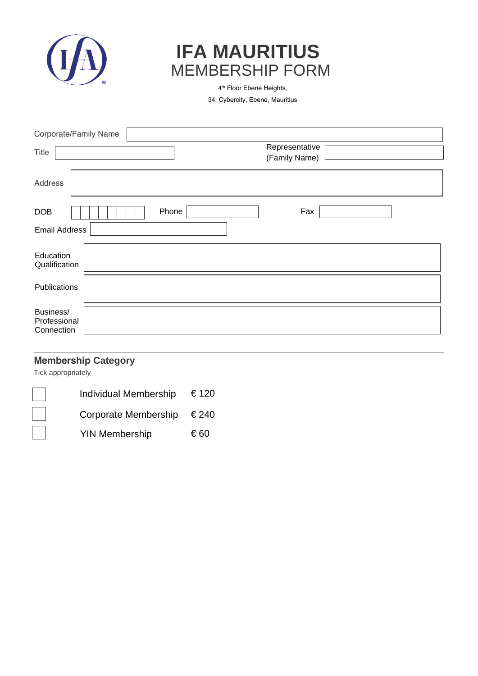

## **IFA MAURITIUS** MEMBERSHIP FORM

4 th Floor Ebene Heights,

34, Cybercity, Ebene, Mauritius

|                                         | Corporate/Family Name           |
|-----------------------------------------|---------------------------------|
| Title                                   | Representative<br>(Family Name) |
| Address                                 |                                 |
| DOB                                     | Fax<br>Phone                    |
| <b>Email Address</b>                    |                                 |
| Education<br>Qualification              |                                 |
| Publications                            |                                 |
| Business/<br>Professional<br>Connection |                                 |

## **Membership Category**

Tick appropriately

| <b>Individual Membership</b> | € 120 |
|------------------------------|-------|
| Corporate Membership         | €240  |
| <b>YIN Membership</b>        | €60   |